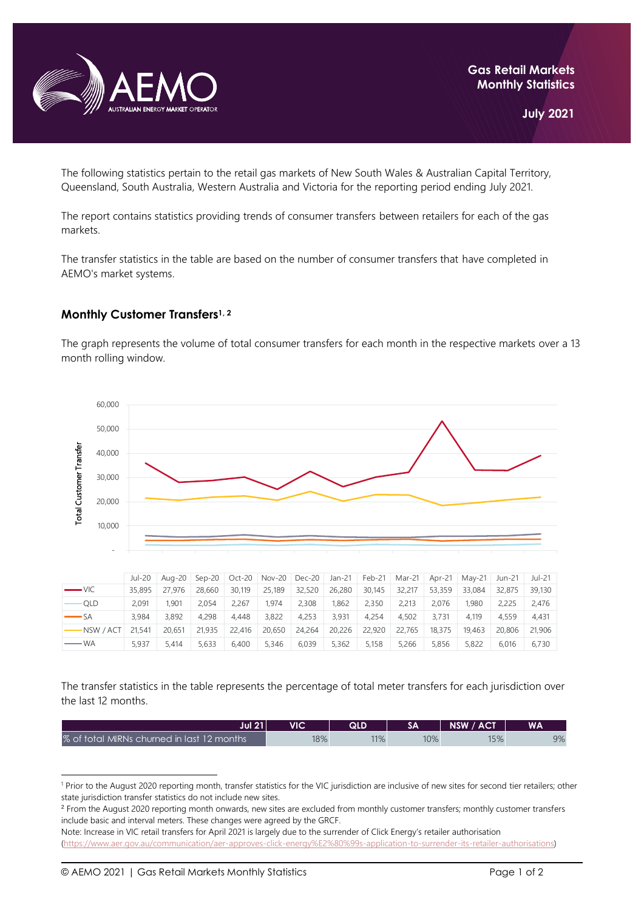

The following statistics pertain to the retail gas markets of New South Wales & Australian Capital Territory, Queensland, South Australia, Western Australia and Victoria for the reporting period ending July 2021.

The report contains statistics providing trends of consumer transfers between retailers for each of the gas markets.

The transfer statistics in the table are based on the number of consumer transfers that have completed in AEMO's market systems.

## **Monthly Customer Transfers1, <sup>2</sup>**

The graph represents the volume of total consumer transfers for each month in the respective markets over a 13 month rolling window.



|                       | Jul-20 |        |        |        | Aug-20 Sep-20 Oct-20 Nov-20 Dec-20 Jan-21 Feb-21 Mar-21 Apr-21 May-21 Jun-21 |               |        |        |        |        |        |        | Jul-21 |
|-----------------------|--------|--------|--------|--------|------------------------------------------------------------------------------|---------------|--------|--------|--------|--------|--------|--------|--------|
| $\longrightarrow$ VIC | 35,895 | 27.976 | 28.660 | 30.119 | 25.189                                                                       | 32,520        | 26,280 | 30.145 | 32,217 | 53,359 | 33.084 | 32,875 | 39,130 |
| <b>OLD</b>            | 2.091  | 1.901  | 2.054  | 2.267  | 1.974                                                                        | 2,308         | 1.862  | 2,350  | 2.213  | 2.076  | 1.980  | 2.225  | 2.476  |
| $\longrightarrow$ SA  | 3.984  | 3.892  | 4.298  | 4.448  | 3.822                                                                        | 4.253         | 3.931  | 4.254  | 4.502  | 3.731  | 4.119  | 4.559  | 4.431  |
| $-NSW / ACT$ 21.541   |        | 20.651 | 21,935 | 22,416 |                                                                              | 20,650 24,264 | 20,226 | 22,920 | 22.765 | 18,375 | 19.463 | 20,806 | 21,906 |
| <b>WA</b>             | 5.937  | 5.414  | 5.633  | 6.400  | 5,346                                                                        | 6,039         | 5,362  | 5,158  | 5,266  | 5,856  | 5,822  | 6.016  | 6.730  |

The transfer statistics in the table represents the percentage of total meter transfers for each jurisdiction over the last 12 months.

| Jul 21 $\mathsf{L}$                        | VIC | QLD |     | NSW / ACT | WA |
|--------------------------------------------|-----|-----|-----|-----------|----|
| % of total MIRNs churned in last 12 months | 18% | 11% | 10% | 15%       | 9% |

<sup>&</sup>lt;sup>1</sup> Prior to the August 2020 reporting month, transfer statistics for the VIC jurisdiction are inclusive of new sites for second tier retailers; other state jurisdiction transfer statistics do not include new sites.

<sup>&</sup>lt;sup>2</sup> From the August 2020 reporting month onwards, new sites are excluded from monthly customer transfers; monthly customer transfers include basic and interval meters. These changes were agreed by the GRCF.

Note: Increase in VIC retail transfers for April 2021 is largely due to the surrender of Click Energy's retailer authorisation [\(https://www.aer.gov.au/communication/aer-approves-click-energy%E2%80%99s-application-to-surrender-its-retailer-authorisations\)](https://www.aer.gov.au/communication/aer-approves-click-energy%E2%80%99s-application-to-surrender-its-retailer-authorisations)